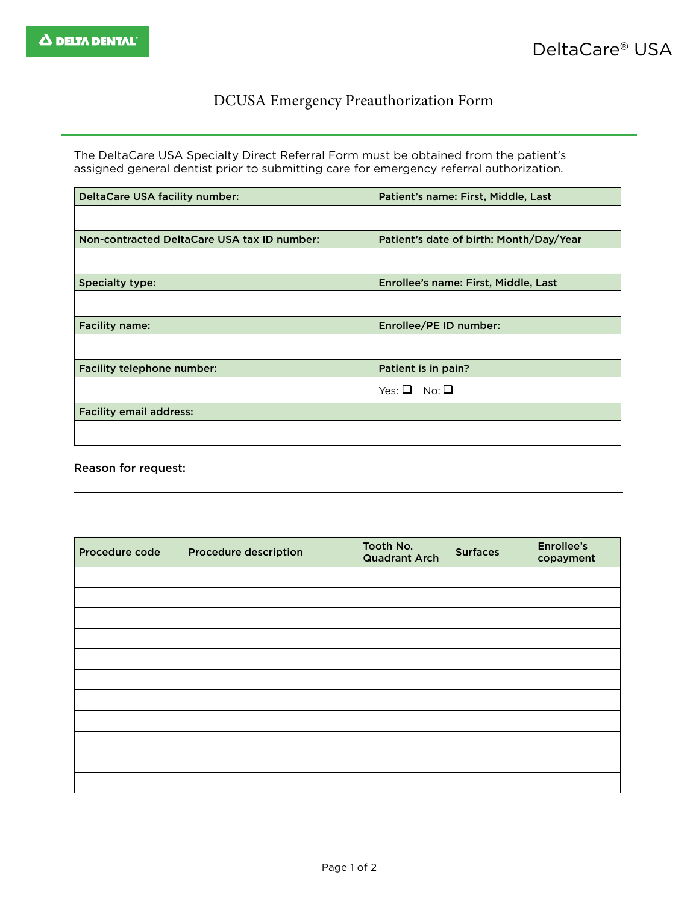## DCUSA Emergency Preauthorization Form

The DeltaCare USA Specialty Direct Referral Form must be obtained from the patient's assigned general dentist prior to submitting care for emergency referral authorization.

| DeltaCare USA facility number:              | Patient's name: First, Middle, Last     |
|---------------------------------------------|-----------------------------------------|
|                                             |                                         |
| Non-contracted DeltaCare USA tax ID number: | Patient's date of birth: Month/Day/Year |
|                                             |                                         |
| <b>Specialty type:</b>                      | Enrollee's name: First, Middle, Last    |
|                                             |                                         |
| <b>Facility name:</b>                       | Enrollee/PE ID number:                  |
|                                             |                                         |
| Facility telephone number:                  | Patient is in pain?                     |
|                                             | No: $\Box$<br>Yes: $\Box$               |
| <b>Facility email address:</b>              |                                         |
|                                             |                                         |

## Reason for request:

| Procedure code | <b>Procedure description</b> | Tooth No.<br><b>Quadrant Arch</b> | <b>Surfaces</b> | <b>Enrollee's</b><br>copayment |
|----------------|------------------------------|-----------------------------------|-----------------|--------------------------------|
|                |                              |                                   |                 |                                |
|                |                              |                                   |                 |                                |
|                |                              |                                   |                 |                                |
|                |                              |                                   |                 |                                |
|                |                              |                                   |                 |                                |
|                |                              |                                   |                 |                                |
|                |                              |                                   |                 |                                |
|                |                              |                                   |                 |                                |
|                |                              |                                   |                 |                                |
|                |                              |                                   |                 |                                |
|                |                              |                                   |                 |                                |